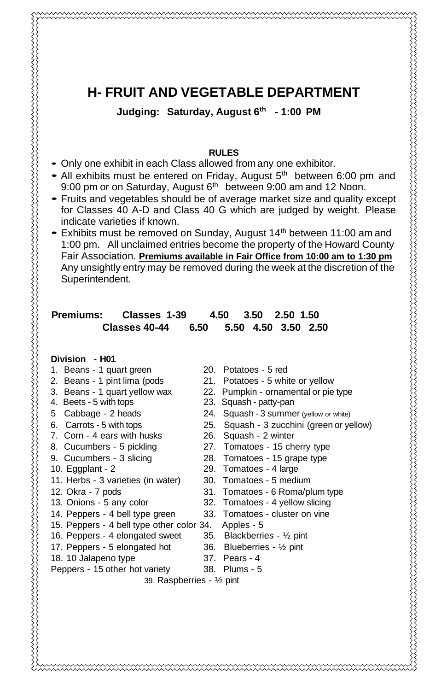## **H- FRUIT AND VEGETABLE DEPARTMENT**

**Judging: Saturday, August 6th - 1:00 PM**

#### **RULES**

- Only one exhibit in each Class allowed from any one exhibitor.
- All exhibits must be entered on Friday, August 5<sup>th</sup> between 6:00 pm and 9:00 pm or on Saturday, August 6<sup>th</sup> between 9:00 am and 12 Noon.
- Fruits and vegetables should be of average market size and quality except for Classes 40 A-D and Class 40 G which are judged by weight. Please indicate varieties if known.
- Exhibits must be removed on Sunday, August 14<sup>th</sup> between 11:00 am and 1:00 pm. All unclaimed entries become the property of the Howard County Fair Association. **Premiums available in Fair Office from 10:00 am to 1:30 pm** Any unsightly entry may be removed during the week at the discretion of the Superintendent.

### **Premiums: Classes 1-39 4.50 3.50 2.50 1.50 Classes 40-44 6.50 5.50 4.50 3.50 2.50**

**Division - H01**

- 1. Beans 1 quart green 20. Potatoes 5 red
- 
- 
- 4. Beets 5 with tops 23. Squash patty-pan
- 
- 
- 7. Corn 4 ears with husks 26. Squash 2 winter
- 
- 
- 
- 11. Herbs 3 varieties (in water) 30. Tomatoes 5 medium
- 
- 
- 14. Peppers 4 bell type green 33. Tomatoes cluster on vine
- 15. Peppers 4 bell type other color 34. Apples 5<br>16. Peppers 4 elongated sweet 35. Blackberries 1/2 pint
- 16. Peppers 4 elongated sweet
- 17. Peppers 5 elongated hot 36. Blueberries ½ pint
- 18. 10 Jalapeno type 37. Pears 4
- 
- Peppers 15 other hot variety 38. Plums 5
	- 39. Raspberries ½ pint

- 
- 2. Beans 1 pint lima (pods 21. Potatoes 5 white or yellow
- 3. Beans 1 quart yellow wax 22. Pumpkin ornamental or pie type
	-
- 5 Cabbage 2 heads 24. Squash 3 summer (yellow or white)
- 6. Carrots 5 with tops 25. Squash 3 zucchini (green or yellow)
	-
- 8. Cucumbers 5 pickling 27. Tomatoes 15 cherry type
- 9. Cucumbers 3 slicing 28. Tomatoes 15 grape type
- 10. Eggplant 2 29. Tomatoes 4 large
	-
- 12. Okra 7 pods 31. Tomatoes 6 Roma/plum type
- 13. Onions 5 any color 32. Tomatoes 4 yellow slicing
	-
	-
	-
	-
	-
	-